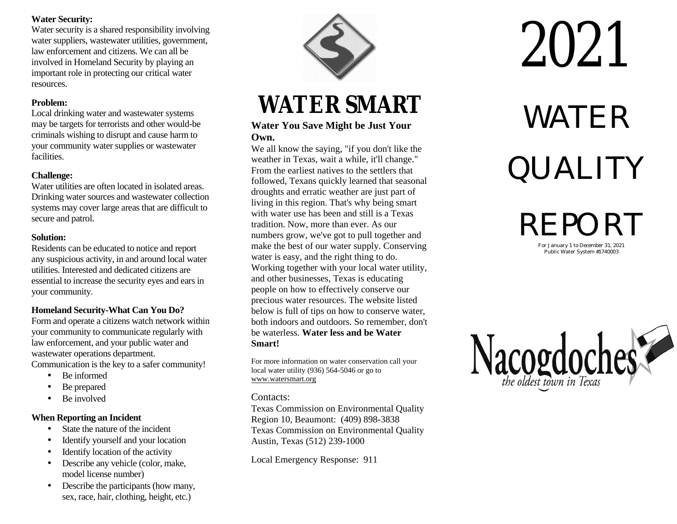#### **Water Security:**

Water security is a shared responsibility involving water suppliers, wastewater utilities, government, law enforcement and citizens. We can all be involved in Homeland Security by playing a important role in protecting our critical water resources.

#### **P ro b le m :**

Local drin may be targets for terrorists and other would-b criminals wishing to disrupt and cause harm to your community water supplies or wastewater We all know the saying, "if you don't like the facilities.

### hallenge:

Water utilities are often located in isolated areas. Water unnues are onen located in isolated areas.<br>
droughts and erratic weather are just part of<br>
Drinking water sources and wastewater collection systems may cover large areas that are difficult to secure and patrol.

#### **Solution:**

any suspicious activity, in and around local water water is easy, and the right thing to do.<br>
working together with your local water utility, utilities. Interested and dedicated citizens are<br>
essential to increase the security eves and ears in<br>
and other businesses, Texas is educating<br>
and other businesses, Texas is educating essential to increase the security eyes and ears in your community. The people on how to effectively conserve our recommunity.

your community to communicate regularly with be waterless. **Water less and be Water** law enforcement, and your public water and **Smart!** wastewater operations department.

- 
- Be prepared
- Be involved **Contacts:**

- 
- Identify yourself and your location Austin, Texas (512) 239-1000
- Identify location of the activity
- model license number)
- Describe the participants (how many, sex, race, hair, clothing, height, etc.)



# **WATER SMART**

# **Own.**

weather in Texas, wait a while, it'll change." From the earliest natives to the settlers that followed, Texans quickly learned that seasonal living in this region. That's why being smart with water use has been and still is a Texas tra dition . Now, more than e ver. As our numbers grow, we've got to With water use has been and sum is a 1 exas<br>tradition. Now, more than ever. As our<br>numbers grow, we've got to pull together and<br>make the best of our water supply. Conserving<br> $\mathbb{R}$  For January 1 to December 31, 2021 Residents can be educated to notice and report make the best of our water supply. Conserving<br>
music can be educated to notice and report water is easy, and the right thing to do.<br>
Water is easy, and the right thing to do. precious water resources. The website listed **Homeland Security-What Can You Do?** below is full of tips on how to conserve water, Form and operate a citizens watch network within both indoors and outdoors. So remember, don't both indoors and outdoors. So remember, don't

Communication is the key to a safer community! For more information on water conservation call your local water utility (936) 564-5046 or go to • Be informed www.watersmart.org

Texas Commission on Environmental Quality **10. When Reporting an Incident**<br>
• State the nature of the incident<br> **Exas Commission on Environmental O**<br> **Region 10, Beaumont:** (409) 898-3838 • State the nature of the incident Texas Commission on Environmental Quality

• Describe any vehicle (color, make, Local Emergency Response: 911

# 2021

# WAILD SIVIAN L<br>WATER QUALITY

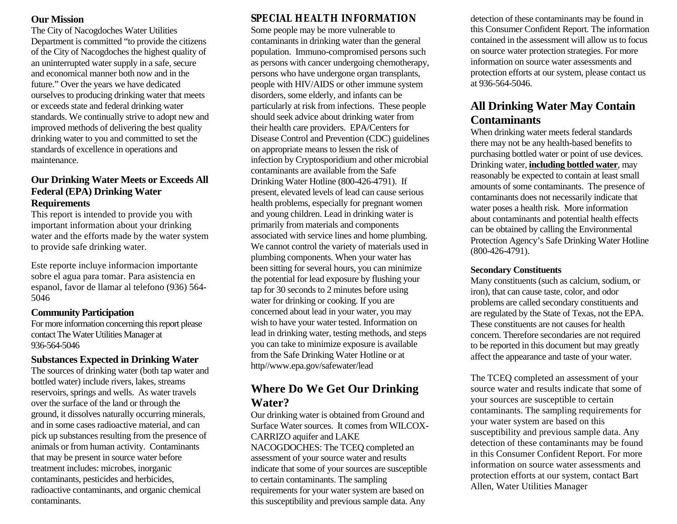#### **Our Mission**

The City of Nacogdoches Water Utilities Department is committed "to provide the citizens" of the City of Nacogdoches the highest quality of an uninterrupted water supply in a safe, secure and economical manner both now and in the future." Over the years we have dedicated ourselves to producing drinking water that meets or exceeds state and federal drinking water standards. We continually strive to adopt new and improved methods of delivering the best quality drinking water to you and committed to set the standards of excellence in operations and maintenance

#### **Our Drinking Water Meets or Exceeds All Federal (EPA) Drinking Water Requirements**

This report is intended to provide you with important information about your drinking water and the efforts made by the water system to provide safe drinking water.

Este reporte incluye informacion importante sobre el agua para tomar. Para asistencia en espanol, favor de llamar al telefono (936) 564-5046

### **Community Participation**

For more information concerning this report please contact The Water Utilities Manager at 936-564-5046

### **Substances Expected in Drinking Water**

The sources of drinking water (both tap water and bottled water) include rivers, lakes, streams reservoirs, springs and wells. As water travels over the surface of the land or through the ground, it dissolves naturally occurring minerals, and in some cases radioactive material, and can pick up substances resulting from the presence of animals or from human activity. Contaminants that may be present in source water before treatment includes: microbes, inorganic contaminants, pesticides and herbicides, radioactive contaminants, and organic chemical contaminants.

## **SPECIAL HEALTH INFORMATION**

Some people may be more vulnerable to contaminants in drinking water than the general population. Immuno-compromised persons such as persons with cancer undergoing chemotherapy, persons who have undergone organ transplants, people with HIV/AIDS or other immune system disorders, some elderly, and infants can be particularly at risk from infections. These people should seek advice about drinking water from their health care providers. EPA/Centers for Disease Control and Prevention (CDC) guidelines on appropriate means to lessen the risk of infection by Cryptosporidium and other microbial contaminants are available from the Safe Drinking Water Hotline (800-426-4791). If present, elevated levels of lead can cause serious health problems, especially for pregnant women and young children. Lead in drinking water is primarily from materials and components associated with service lines and home plumbing. We cannot control the variety of materials used in plumbing components. When your water has been sitting for several hours, you can minimize the potential for lead exposure by flushing your tap for 30 seconds to 2 minutes before using water for drinking or cooking. If you are concerned about lead in your water, you may wish to have your water tested. Information on lead in drinking water, testing methods, and steps you can take to minimize exposure is available from the Safe Drinking Water Hotline or at http//www.epa.gov/safewater/lead

### **Where Do We Get Our Drinking** Water?

Our drinking water is obtained from Ground and Surface Water sources. It comes from WILCOX-**CARRIZO** aquifer and LAKE NACOGDOCHES: The TCEQ completed an assessment of your source water and results indicate that some of your sources are susceptible to certain contaminants. The sampling requirements for your water system are based on this susceptibility and previous sample data. Any

detection of these contaminants may be found in this Consumer Confident Report. The information contained in the assessment will allow us to focus on source water protection strategies. For more information on source water assessments and protection efforts at our system, please contact us at 936-564-5046.

## **All Drinking Water May Contain Contaminants**

When drinking water meets federal standards there may not be any health-based benefits to purchasing bottled water or point of use devices. Drinking water, **including bottled water**, may reasonably be expected to contain at least small amounts of some contaminants. The presence of contaminants does not necessarily indicate that water poses a health risk. More information about contaminants and potential health effects can be obtained by calling the Environmental Protection Agency's Safe Drinking Water Hotline  $(800-426-4791)$ .

#### **Secondary Constituents**

Many constituents (such as calcium, sodium, or iron), that can cause taste, color, and odor problems are called secondary constituents and are regulated by the State of Texas, not the EPA. These constituents are not causes for health concern. Therefore secondaries are not required to be reported in this document but may greatly affect the appearance and taste of your water.

The TCEQ completed an assessment of your source water and results indicate that some of your sources are susceptible to certain contaminants. The sampling requirements for your water system are based on this susceptibility and previous sample data. Any detection of these contaminants may be found in this Consumer Confident Report. For more information on source water assessments and protection efforts at our system, contact Bart Allen, Water Utilities Manager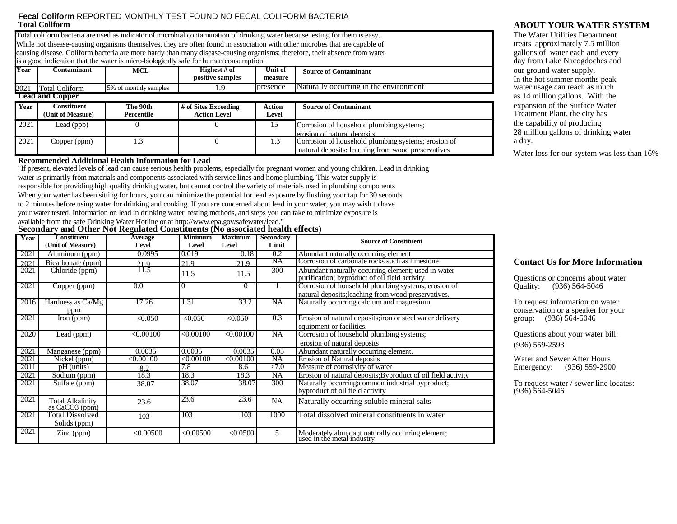#### **Fecal Coliform REPORTED MONTHLY TEST FOUND NO FECAL COLIFORM BACTERIA Total Coliform**

Total coliform bacteria are used as indicator of microbial contamination of drinking water because testing for them is easy. While not disease-causing organisms themselves, they are often found in association with other microbes that are capable of causing disease. Coliform bacteria are more hardy than many disease-causing organisms; therefore, their absence from water is a good indication that the water is micro-biologically safe for human consumption.

|      |                                  |                        | THE ME ROOM TIMMING AND ANNOUNCED IN THE CONTROL OF A SERVICE IN THE TOT TIMITIMIT A CHANGE IN CHANGE AND THE |                    |                                                                                                           |
|------|----------------------------------|------------------------|---------------------------------------------------------------------------------------------------------------|--------------------|-----------------------------------------------------------------------------------------------------------|
| Year | C <b>ontaminant</b>              | <b>MCL</b>             | Highest # of<br>positive samples                                                                              | Unit of<br>measure | <b>Source of Contaminant</b>                                                                              |
| 2021 | <b>Total Coliform</b>            | 5% of monthly samples  | .9                                                                                                            | presence           | Naturally occurring in the environment                                                                    |
|      | <b>Lead and Copper</b>           |                        |                                                                                                               |                    |                                                                                                           |
| Year | Constituent<br>(Unit of Measure) | The 90th<br>Percentile | # of Sites Exceeding<br><b>Action Level</b>                                                                   | Action<br>Level    | <b>Source of Contaminant</b>                                                                              |
| 2021 | Lead (ppb)                       |                        |                                                                                                               | 15                 | Corrosion of household plumbing systems;<br>lerosion of natural deposits                                  |
| 2021 | Copper (ppm)                     | 1.3                    |                                                                                                               | 1.3                | Corrosion of household plumbing systems; erosion of<br>natural deposits: leaching from wood preservatives |

#### **Recommended Additional Health Information for Lead**

"If present, elevated levels of lead can cause serious health problems, especially for pregnant women and young children. Lead in drinking water is primarily from materials and components associated with service lines and home plumbing. This water supply is

responsible for providing high quality drinking water, but cannot control the variety of materials used in plumbing components

When your water has been sitting for hours, you can minimize the potential for lead exposure by flushing your tap for 30 seconds

to 2 minutes before using water for drinking and cooking. If you are concerned about lead in your water, you may wish to have

your water tested. Information on lead in drinking water, testing methods, and steps you can take to minimize exposure is

available from the safe Drinking Water Hotline or at http://www.epa.gov/safewater/lead."

#### Secondary and Other Not Regulated Constituents (No associated health effects)

| Year | Constituent<br>(Unit of Measure) | <b>Average</b><br>Level | <b>Minimum</b><br>Level | <b>Maximum</b><br>Level | <b>Secondary</b><br>Limit | <b>Source of Constituent</b>                                                                         |
|------|----------------------------------|-------------------------|-------------------------|-------------------------|---------------------------|------------------------------------------------------------------------------------------------------|
| 2021 | Aluminum (ppm)                   | 0.0995                  | 0.019                   | 0.18                    | 0.2                       | Abundant naturally occurring element                                                                 |
| 2021 | Bicarbonate (ppm)                | 21.9                    | 21.9                    | 21.9                    | NA                        | Corrosion of carbonate rocks such as limestone                                                       |
| 2021 | Chloride (ppm)                   | 11.5                    | 11.5                    | 11.5                    | 300                       | Abundant naturally occurring element; used in water<br>purification; byproduct of oil field activity |
| 2021 | Copper (ppm)                     | 0.0                     | 0                       | 0                       |                           | Corrosion of household plumbing systems; erosion of                                                  |
|      |                                  |                         |                         |                         |                           | natural deposits; leaching from wood preservatives.                                                  |
| 2016 | Hardness as Ca/Mg                | 17.26                   | 1.31                    | 33.2                    | <b>NA</b>                 | Naturally occurring calcium and magnesium                                                            |
|      | ppm                              |                         |                         |                         |                           |                                                                                                      |
| 2021 | Iron (ppm)                       | < 0.050                 | < 0.050                 | < 0.050                 | 0.3                       | Erosion of natural deposits; iron or steel water delivery                                            |
|      |                                  |                         |                         |                         |                           | equipment or facilities.                                                                             |
| 2020 | Lead (ppm)                       | < 0.00100               | < 0.00100               | < 0.00100               | NA                        | Corrosion of household plumbing systems;                                                             |
|      |                                  |                         |                         |                         |                           | erosion of natural deposits                                                                          |
| 2021 | Manganese (ppm)                  | 0.0035                  | 0.0035                  | 0.0035                  | 0.05                      | Abundant naturally occurring element.                                                                |
| 2021 | Nickel (ppm)                     | < 0.00100               | <0.00100                | < 0.00100               | NA                        | Erosion of Natural deposits                                                                          |
| 2011 | pH (units)                       | 8.2                     | 7.8                     | 8.6                     | >7.0                      | Measure of corrosivity of water                                                                      |
| 2021 | Sodium (ppm)                     | 18.3                    | 18.3                    | 18.3                    | NA                        | Erosion of natural deposits; Byproduct of oil field activity                                         |
| 2021 | Sulfate (ppm)                    | 38.07                   | 38.07                   | 38.07                   | 300                       | Naturally occurring; common industrial byproduct;                                                    |
|      |                                  |                         |                         |                         |                           | byproduct of oil field activity                                                                      |
| 2021 | Total Alkalinity                 | 23.6                    | 23.6                    | 23.6                    | NA                        | Naturally occurring soluble mineral salts                                                            |
|      | as CaCO <sub>3</sub> (ppm)       |                         |                         |                         |                           |                                                                                                      |
| 2021 | Total Dissolved                  | 103                     | 103                     | 103                     | 1000                      | Total dissolved mineral constituents in water                                                        |
|      | Solids (ppm)                     |                         |                         |                         |                           |                                                                                                      |
| 2021 | $\text{Zinc (ppm)}$              | < 0.00500               | < 0.00500               | < 0.0500                | 5                         | Moderately abundant naturally occurring element;<br>used in the metal industry                       |

#### **ABOUT YOUR WATER SYSTEM**

The Water Utilities Department treats approximately 7.5 million gallons of water each and every day from Lake Nacogdoches and our ground water supply. In the hot summer months peak water usage can reach as much as 14 million gallons. With the expansion of the Surface Water Treatment Plant, the city has the capability of producing 28 million gallons of drinking water a day.

Water loss for our system was less than 16%

#### **Contact Us for More Information**

Questions or concerns about water Quality: (936) 564-5046

To request information on water conservation or a speaker for your group:  $(936) 56\hat{4} - 5046$ 

Questions about your water bill:  $(936) 559 - 2593$ 

Water and Sewer After Hours Emergency: (936) 559-2900

To request water / sewer line locates:  $(936) 564 - 5046$